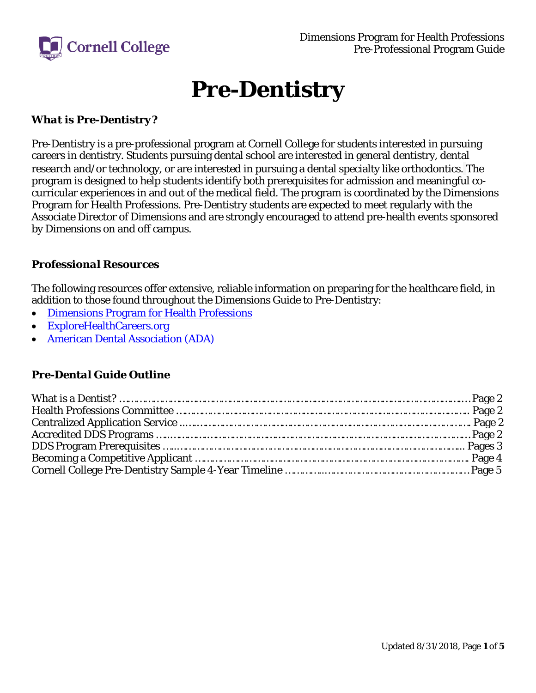

# **Pre-Dentistry**

## *What is Pre-Dentistry?*

Pre-Dentistry is a pre-professional program at Cornell College for students interested in pursuing careers in dentistry. Students pursuing dental school are interested in general dentistry, dental research and/or technology, or are interested in pursuing a dental specialty like orthodontics. The program is designed to help students identify both prerequisites for admission and meaningful cocurricular experiences in and out of the medical field. The program is coordinated by the Dimensions Program for Health Professions. Pre-Dentistry students are expected to meet regularly with the Associate Director of Dimensions and are strongly encouraged to attend pre-health events sponsored by Dimensions on and off campus.

#### *Professional Resources*

The following resources offer extensive, reliable information on preparing for the healthcare field, in addition to those found throughout the Dimensions Guide to Pre-Dentistry:

- Dimensions [Program for Health Professions](https://www.cornellcollege.edu/students/dimensions/index.shtml)
- [ExploreHealthCareers.org](https://explorehealthcareers.org/)
- [American Dental Association \(ADA\)](https://www.ada.org/en)

#### *Pre-Dental Guide Outline*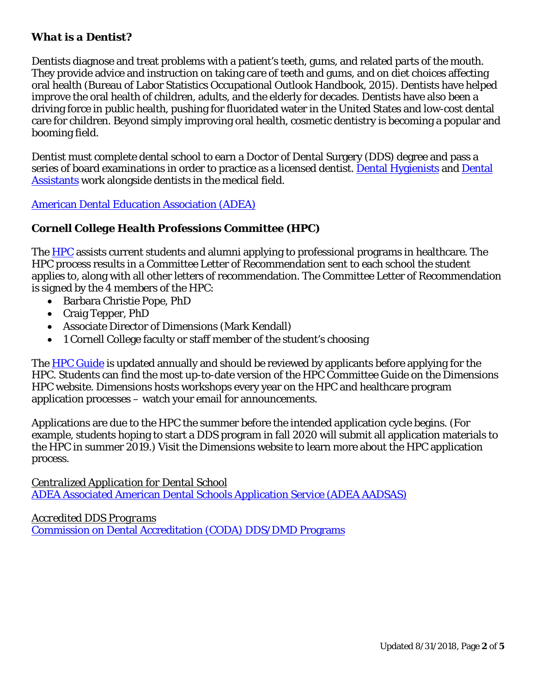#### *What is a Dentist?*

Dentists diagnose and treat problems with a patient's teeth, gums, and related parts of the mouth. They provide advice and instruction on taking care of teeth and gums, and on diet choices affecting oral health (Bureau of Labor Statistics Occupational Outlook Handbook, 2015). Dentists have helped improve the oral health of children, adults, and the elderly for decades. Dentists have also been a driving force in public health, pushing for fluoridated water in the United States and low-cost dental care for children. Beyond simply improving oral health, cosmetic dentistry is becoming a popular and booming field.

Dentist must complete dental school to earn a Doctor of Dental Surgery (DDS) degree and pass a series of board examinations in order to practice as a licensed dentist. [Dental Hygienists](http://www.bls.gov/ooh/healthcare/dental-hygienists.htm) and Dental [Assistants](http://www.bls.gov/ooh/healthcare/dental-assistants.htm) work alongside dentists in the medical field.

[American Dental Education Association \(ADEA\)](http://www.adea.org/)

#### *Cornell College Health Professions Committee (HPC)*

The [HPC](https://www.cornellcollege.edu/students/dimensions/health-professions-committee.shtml) assists current students and alumni applying to professional programs in healthcare. The HPC process results in a Committee Letter of Recommendation sent to each school the student applies to, along with all other letters of recommendation. The Committee Letter of Recommendation is signed by the 4 members of the HPC:

- Barbara Christie Pope, PhD
- Craig Tepper, PhD
- Associate Director of Dimensions (Mark Kendall)
- 1 Cornell College faculty or staff member of the student's choosing

The HPC [Guide](https://www.cornellcollege.edu/students/dimensions/PDFs/HPC%20Guide_020718.pdf) is updated annually and should be reviewed by applicants before applying for the HPC. Students can find the most up-to-date version of the HPC Committee Guide on the Dimensions HPC website. Dimensions hosts workshops every year on the HPC and healthcare program application processes – watch your email for announcements.

Applications are due to the HPC the summer before the intended application cycle begins. (For example, students hoping to start a DDS program in fall 2020 will submit all application materials to the HPC in summer 2019.) Visit the Dimensions website to learn more about the HPC application process.

*Centralized Application for Dental School* [ADEA Associated American Dental Schools Application Service \(ADEA AADSAS\)](http://www.adea.org/dental_education_pathways/aadsas/Applicants/Pages/default.aspx)

*Accredited DDS Programs* [Commission on Dental Accreditation \(CODA\) DDS/DMD Programs](http://www.ada.org/en/coda/find-a-program/search-dental-programs/dds-dmd-programs)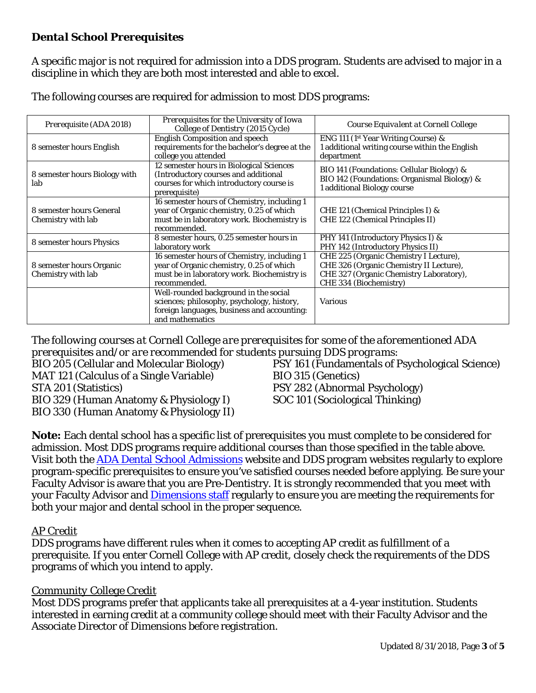## *Dental School Prerequisites*

A specific major is not required for admission into a DDS program. Students are advised to major in a discipline in which they are both most interested and able to excel.

| Prerequisite (ADA 2018)                        | Prerequisites for the University of Iowa<br>College of Dentistry (2015 Cycle)                                                                          | Course Equivalent at Cornell College                                                                                                                   |
|------------------------------------------------|--------------------------------------------------------------------------------------------------------------------------------------------------------|--------------------------------------------------------------------------------------------------------------------------------------------------------|
| 8 semester hours English                       | <b>English Composition and speech</b><br>requirements for the bachelor's degree at the<br>college you attended                                         | ENG 111 (1 <sup>st</sup> Year Writing Course) &<br>1 additional writing course within the English<br>department                                        |
| 8 semester hours Biology with<br>lab           | 12 semester hours in Biological Sciences<br>(Introductory courses and additional<br>courses for which introductory course is<br>prerequisite)          | BIO 141 (Foundations: Cellular Biology) &<br>BIO 142 (Foundations: Organismal Biology) &<br>1 additional Biology course                                |
| 8 semester hours General<br>Chemistry with lab | 16 semester hours of Chemistry, including 1<br>year of Organic chemistry, 0.25 of which<br>must be in laboratory work. Biochemistry is<br>recommended. | CHE 121 (Chemical Principles I) &<br>CHE 122 (Chemical Principles II)                                                                                  |
| 8 semester hours Physics                       | 8 semester hours, 0.25 semester hours in<br>laboratory work                                                                                            | PHY 141 (Introductory Physics I) &<br>PHY 142 (Introductory Physics II)                                                                                |
| 8 semester hours Organic<br>Chemistry with lab | 16 semester hours of Chemistry, including 1<br>year of Organic chemistry, 0.25 of which<br>must be in laboratory work. Biochemistry is<br>recommended. | CHE 225 (Organic Chemistry I Lecture),<br>CHE 326 (Organic Chemistry II Lecture),<br>CHE 327 (Organic Chemistry Laboratory),<br>CHE 334 (Biochemistry) |
|                                                | Well-rounded background in the social<br>sciences; philosophy, psychology, history,<br>foreign languages, business and accounting:<br>and mathematics  | <b>Various</b>                                                                                                                                         |

The following courses are required for admission to most DDS programs:

*The following courses at Cornell College are prerequisites for some of the aforementioned ADA prerequisites and/or are recommended for students pursuing DDS programs:* 

MAT 121 (Calculus of a Single Variable) BIO 315 (Genetics) STA 201 (Statistics) PSY 282 (Abnormal Psychology) BIO 329 (Human Anatomy & Physiology I) SOC 101 (Sociological Thinking) BIO 330 (Human Anatomy & Physiology II)

BIO 205 (Cellular and Molecular Biology) PSY 161 (Fundamentals of Psychological Science)

**Note:** Each dental school has a specific list of prerequisites you must complete to be considered for admission. Most DDS programs require additional courses than those specified in the table above. Visit both the [ADA Dental School Admissions](http://www.ada.org/en/education-careers/careers-in-dentistry/be-a-dentist/applying-for-dental-school) website and DDS program websites regularly to explore program-specific prerequisites to ensure you've satisfied courses needed before applying. Be sure your Faculty Advisor is aware that you are Pre-Dentistry. It is strongly recommended that you meet with your Faculty Advisor and **Dimensions staff** regularly to ensure you are meeting the requirements for both your major and dental school in the proper sequence.

#### *AP Credit*

DDS programs have different rules when it comes to accepting AP credit as fulfillment of a prerequisite. If you enter Cornell College with AP credit, closely check the requirements of the DDS programs of which you intend to apply.

#### *Community College Credit*

Most DDS programs prefer that applicants take all prerequisites at a 4-year institution. Students interested in earning credit at a community college should meet with their Faculty Advisor and the Associate Director of Dimensions *before* registration.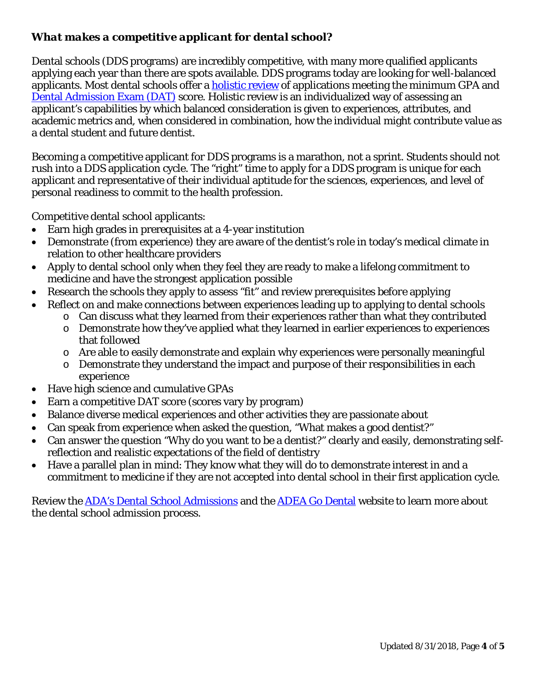# *What makes a competitive applicant for dental school?*

Dental schools (DDS programs) are incredibly competitive, with many more qualified applicants applying each year than there are spots available. DDS programs today are looking for well-balanced applicants. Most dental schools offer a [holistic review](https://www.aamc.org/initiatives/holisticreview/) of applications meeting the minimum GPA and [Dental Admission Exam \(DAT\)](https://www.ada.org/en/education-careers/dental-admission-test) score. Holistic review is an individualized way of assessing an applicant's capabilities by which balanced consideration is given to experiences, attributes, and academic metrics and, when considered in combination, how the individual might contribute value as a dental student and future dentist.

Becoming a competitive applicant for DDS programs is a marathon, not a sprint. Students should not rush into a DDS application cycle. The "right" time to apply for a DDS program is unique for each applicant and representative of their individual aptitude for the sciences, experiences, and level of personal readiness to commit to the health profession.

Competitive dental school applicants:

- Earn high grades in prerequisites at a 4-year institution
- Demonstrate (from experience) they are aware of the dentist's role in today's medical climate in relation to other healthcare providers
- Apply to dental school only when they feel they are ready to make a lifelong commitment to medicine and have the strongest application possible
- Research the schools they apply to assess "fit" and review prerequisites *before* applying
- Reflect on and make connections between experiences leading up to applying to dental schools
	- o Can discuss what they learned *from* their experiences rather than what they *contributed*
	- o Demonstrate how they've applied what they learned in earlier experiences to experiences that followed
	- o Are able to easily demonstrate and explain why experiences were personally meaningful
	- o Demonstrate they understand the impact and purpose of their responsibilities in each experience
- Have high science and cumulative GPAs
- Earn a competitive DAT score (scores vary by program)
- Balance diverse medical experiences and other activities they are passionate about
- Can speak from experience when asked the question, "What makes a good dentist?"
- Can answer the question "Why do you want to be a dentist?" clearly and easily, demonstrating selfreflection and realistic expectations of the field of dentistry
- Have a parallel plan in mind: They know what they will do to demonstrate interest in and a commitment to medicine if they are not accepted into dental school in their first application cycle.

Review the [ADA's Dental School Admissions](http://www.ada.org/en/education-careers/careers-in-dentistry/be-a-dentist/applying-for-dental-school) and the [ADEA Go Dental](http://www.adea.org/godental/) website to learn more about the dental school admission process.